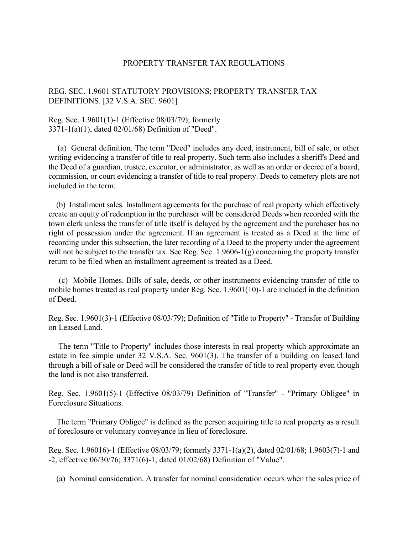## PROPERTY TRANSFER TAX REGULATIONS

## REG. SEC. 1.9601 STATUTORY PROVISIONS; PROPERTY TRANSFER TAX DEFINITIONS. [32 V.S.A. SEC. 9601]

## Reg. Sec. 1.9601(1)-1 (Effective 08/03/79); formerly 3371-1(a)(1), dated 02/01/68) Definition of "Deed".

 (a) General definition. The term "Deed" includes any deed, instrument, bill of sale, or other writing evidencing a transfer of title to real property. Such term also includes a sheriff's Deed and the Deed of a guardian, trustee, executor, or administrator, as well as an order or decree of a board, commission, or court evidencing a transfer of title to real property. Deeds to cemetery plots are not included in the term.

 (b) Installment sales. Installment agreements for the purchase of real property which effectively create an equity of redemption in the purchaser will be considered Deeds when recorded with the town clerk unless the transfer of title itself is delayed by the agreement and the purchaser has no right of possession under the agreement. If an agreement is treated as a Deed at the time of recording under this subsection, the later recording of a Deed to the property under the agreement will not be subject to the transfer tax. See Reg. Sec. 1.9606-1(g) concerning the property transfer return to be filed when an installment agreement is treated as a Deed.

 (c) Mobile Homes. Bills of sale, deeds, or other instruments evidencing transfer of title to mobile homes treated as real property under Reg. Sec. 1.9601(10)-1 are included in the definition of Deed.

Reg. Sec. 1.9601(3)-1 (Effective 08/03/79); Definition of "Title to Property" - Transfer of Building on Leased Land.

 The term "Title to Property" includes those interests in real property which approximate an estate in fee simple under 32 V.S.A. Sec. 9601(3). The transfer of a building on leased land through a bill of sale or Deed will be considered the transfer of title to real property even though the land is not also transferred.

Reg. Sec. 1.9601(5)-1 (Effective 08/03/79) Definition of "Transfer" - "Primary Obligee" in Foreclosure Situations.

 The term "Primary Obligee" is defined as the person acquiring title to real property as a result of foreclosure or voluntary conveyance in lieu of foreclosure.

Reg. Sec. 1.96016)-1 (Effective 08/03/79; formerly 3371-1(a)(2), dated 02/01/68; 1.9603(7)-1 and -2, effective 06/30/76; 3371(6)-1, dated 01/02/68) Definition of "Value".

(a) Nominal consideration. A transfer for nominal consideration occurs when the sales price of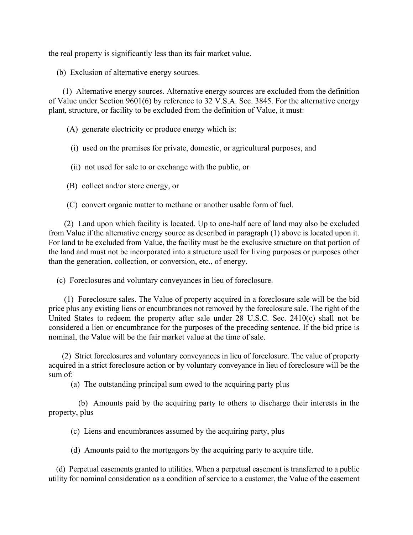the real property is significantly less than its fair market value.

(b) Exclusion of alternative energy sources.

 (1) Alternative energy sources. Alternative energy sources are excluded from the definition of Value under Section 9601(6) by reference to 32 V.S.A. Sec. 3845. For the alternative energy plant, structure, or facility to be excluded from the definition of Value, it must:

(A) generate electricity or produce energy which is:

- (i) used on the premises for private, domestic, or agricultural purposes, and
- (ii) not used for sale to or exchange with the public, or
- (B) collect and/or store energy, or

(C) convert organic matter to methane or another usable form of fuel.

 (2) Land upon which facility is located. Up to one-half acre of land may also be excluded from Value if the alternative energy source as described in paragraph (1) above is located upon it. For land to be excluded from Value, the facility must be the exclusive structure on that portion of the land and must not be incorporated into a structure used for living purposes or purposes other than the generation, collection, or conversion, etc., of energy.

(c) Foreclosures and voluntary conveyances in lieu of foreclosure.

 (1) Foreclosure sales. The Value of property acquired in a foreclosure sale will be the bid price plus any existing liens or encumbrances not removed by the foreclosure sale. The right of the United States to redeem the property after sale under 28 U.S.C. Sec. 2410(c) shall not be considered a lien or encumbrance for the purposes of the preceding sentence. If the bid price is nominal, the Value will be the fair market value at the time of sale.

 (2) Strict foreclosures and voluntary conveyances in lieu of foreclosure. The value of property acquired in a strict foreclosure action or by voluntary conveyance in lieu of foreclosure will be the sum of:

(a) The outstanding principal sum owed to the acquiring party plus

 (b) Amounts paid by the acquiring party to others to discharge their interests in the property, plus

(c) Liens and encumbrances assumed by the acquiring party, plus

(d) Amounts paid to the mortgagors by the acquiring party to acquire title.

 (d) Perpetual easements granted to utilities. When a perpetual easement is transferred to a public utility for nominal consideration as a condition of service to a customer, the Value of the easement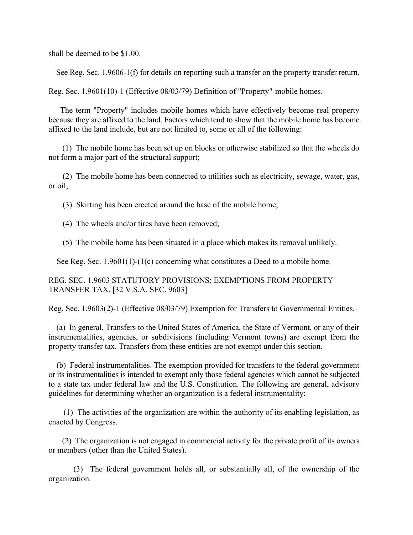shall be deemed to be \$1.00.

See Reg. Sec. 1.9606-1(f) for details on reporting such a transfer on the property transfer return.

Reg. Sec. 1.9601(10)-1 (Effective 08/03/79) Definition of "Property"-mobile homes.

 The term "Property" includes mobile homes which have effectively become real property because they are affixed to the land. Factors which tend to show that the mobile home has become affixed to the land include, but are not limited to, some or all of the following:

 (1) The mobile home has been set up on blocks or otherwise stabilized so that the wheels do not form a major part of the structural support;

 (2) The mobile home has been connected to utilities such as electricity, sewage, water, gas, or oil;

(3) Skirting has been erected around the base of the mobile home;

(4) The wheels and/or tires have been removed;

(5) The mobile home has been situated in a place which makes its removal unlikely.

See Reg. Sec. 1.9601(1)-(1(c) concerning what constitutes a Deed to a mobile home.

REG. SEC. 1.9603 STATUTORY PROVISIONS; EXEMPTIONS FROM PROPERTY TRANSFER TAX. [32 V.S.A. SEC. 9603]

Reg. Sec. 1.9603(2)-1 (Effective 08/03/79) Exemption for Transfers to Governmental Entities.

 (a) In general. Transfers to the United States of America, the State of Vermont, or any of their instrumentalities, agencies, or subdivisions (including Vermont towns) are exempt from the property transfer tax. Transfers from these entities are not exempt under this section.

 (b) Federal instrumentalities. The exemption provided for transfers to the federal government or its instrumentalities is intended to exempt only those federal agencies which cannot be subjected to a state tax under federal law and the U.S. Constitution. The following are general, advisory guidelines for determining whether an organization is a federal instrumentality;

 (1) The activities of the organization are within the authority of its enabling legislation, as enacted by Congress.

 (2) The organization is not engaged in commercial activity for the private profit of its owners or members (other than the United States).

 (3) The federal government holds all, or substantially all, of the ownership of the organization.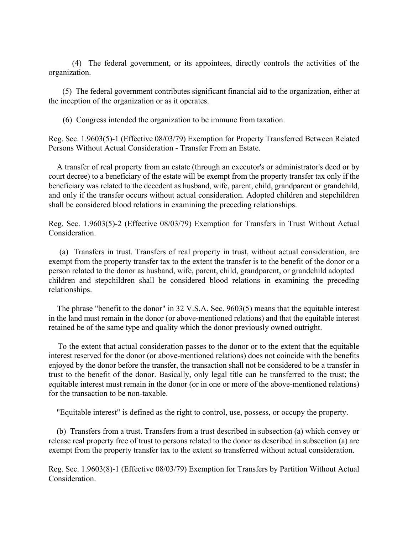(4) The federal government, or its appointees, directly controls the activities of the organization.

 (5) The federal government contributes significant financial aid to the organization, either at the inception of the organization or as it operates.

(6) Congress intended the organization to be immune from taxation.

Reg. Sec. 1.9603(5)-1 (Effective 08/03/79) Exemption for Property Transferred Between Related Persons Without Actual Consideration - Transfer From an Estate.

 A transfer of real property from an estate (through an executor's or administrator's deed or by court decree) to a beneficiary of the estate will be exempt from the property transfer tax only if the beneficiary was related to the decedent as husband, wife, parent, child, grandparent or grandchild, and only if the transfer occurs without actual consideration. Adopted children and stepchildren shall be considered blood relations in examining the preceding relationships.

Reg. Sec. 1.9603(5)-2 (Effective 08/03/79) Exemption for Transfers in Trust Without Actual Consideration.

 (a) Transfers in trust. Transfers of real property in trust, without actual consideration, are exempt from the property transfer tax to the extent the transfer is to the benefit of the donor or a person related to the donor as husband, wife, parent, child, grandparent, or grandchild adopted children and stepchildren shall be considered blood relations in examining the preceding relationships.

 The phrase "benefit to the donor" in 32 V.S.A. Sec. 9603(5) means that the equitable interest in the land must remain in the donor (or above-mentioned relations) and that the equitable interest retained be of the same type and quality which the donor previously owned outright.

 To the extent that actual consideration passes to the donor or to the extent that the equitable interest reserved for the donor (or above-mentioned relations) does not coincide with the benefits enjoyed by the donor before the transfer, the transaction shall not be considered to be a transfer in trust to the benefit of the donor. Basically, only legal title can be transferred to the trust; the equitable interest must remain in the donor (or in one or more of the above-mentioned relations) for the transaction to be non-taxable.

"Equitable interest" is defined as the right to control, use, possess, or occupy the property.

 (b) Transfers from a trust. Transfers from a trust described in subsection (a) which convey or release real property free of trust to persons related to the donor as described in subsection (a) are exempt from the property transfer tax to the extent so transferred without actual consideration.

Reg. Sec. 1.9603(8)-1 (Effective 08/03/79) Exemption for Transfers by Partition Without Actual **Consideration**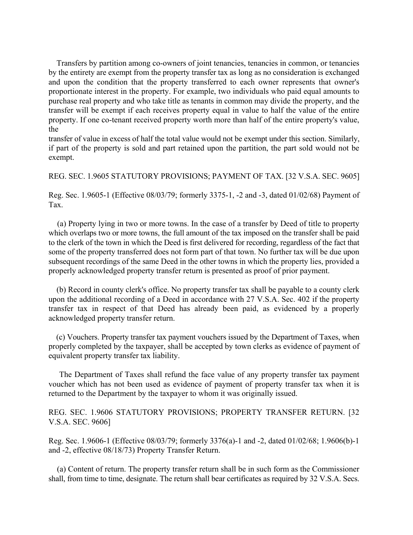Transfers by partition among co-owners of joint tenancies, tenancies in common, or tenancies by the entirety are exempt from the property transfer tax as long as no consideration is exchanged and upon the condition that the property transferred to each owner represents that owner's proportionate interest in the property. For example, two individuals who paid equal amounts to purchase real property and who take title as tenants in common may divide the property, and the transfer will be exempt if each receives property equal in value to half the value of the entire property. If one co-tenant received property worth more than half of the entire property's value, the

transfer of value in excess of half the total value would not be exempt under this section. Similarly, if part of the property is sold and part retained upon the partition, the part sold would not be exempt.

REG. SEC. 1.9605 STATUTORY PROVISIONS; PAYMENT OF TAX. [32 V.S.A. SEC. 9605]

Reg. Sec. 1.9605-1 (Effective 08/03/79; formerly 3375-1, -2 and -3, dated 01/02/68) Payment of Tax.

 (a) Property lying in two or more towns. In the case of a transfer by Deed of title to property which overlaps two or more towns, the full amount of the tax imposed on the transfer shall be paid to the clerk of the town in which the Deed is first delivered for recording, regardless of the fact that some of the property transferred does not form part of that town. No further tax will be due upon subsequent recordings of the same Deed in the other towns in which the property lies, provided a properly acknowledged property transfer return is presented as proof of prior payment.

 (b) Record in county clerk's office. No property transfer tax shall be payable to a county clerk upon the additional recording of a Deed in accordance with 27 V.S.A. Sec. 402 if the property transfer tax in respect of that Deed has already been paid, as evidenced by a properly acknowledged property transfer return.

 (c) Vouchers. Property transfer tax payment vouchers issued by the Department of Taxes, when properly completed by the taxpayer, shall be accepted by town clerks as evidence of payment of equivalent property transfer tax liability.

 The Department of Taxes shall refund the face value of any property transfer tax payment voucher which has not been used as evidence of payment of property transfer tax when it is returned to the Department by the taxpayer to whom it was originally issued.

REG. SEC. 1.9606 STATUTORY PROVISIONS; PROPERTY TRANSFER RETURN. [32 V.S.A. SEC. 9606]

Reg. Sec. 1.9606-1 (Effective 08/03/79; formerly 3376(a)-1 and -2, dated 01/02/68; 1.9606(b)-1 and -2, effective 08/18/73) Property Transfer Return.

 (a) Content of return. The property transfer return shall be in such form as the Commissioner shall, from time to time, designate. The return shall bear certificates as required by 32 V.S.A. Secs.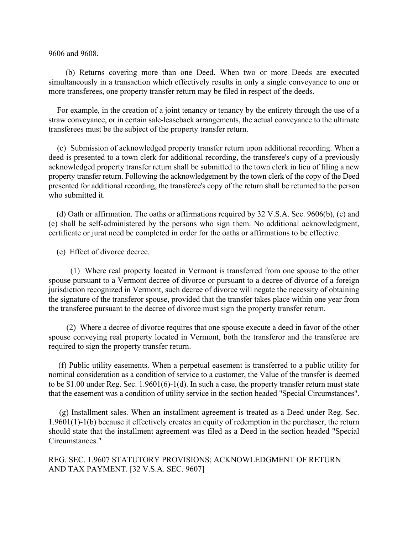9606 and 9608.

 (b) Returns covering more than one Deed. When two or more Deeds are executed simultaneously in a transaction which effectively results in only a single conveyance to one or more transferees, one property transfer return may be filed in respect of the deeds.

 For example, in the creation of a joint tenancy or tenancy by the entirety through the use of a straw conveyance, or in certain sale-leaseback arrangements, the actual conveyance to the ultimate transferees must be the subject of the property transfer return.

 (c) Submission of acknowledged property transfer return upon additional recording. When a deed is presented to a town clerk for additional recording, the transferee's copy of a previously acknowledged property transfer return shall be submitted to the town clerk in lieu of filing a new property transfer return. Following the acknowledgement by the town clerk of the copy of the Deed presented for additional recording, the transferee's copy of the return shall be returned to the person who submitted it.

 (d) Oath or affirmation. The oaths or affirmations required by 32 V.S.A. Sec. 9606(b), (c) and (e) shall be self-administered by the persons who sign them. No additional acknowledgment, certificate or jurat need be completed in order for the oaths or affirmations to be effective.

(e) Effect of divorce decree.

 (1) Where real property located in Vermont is transferred from one spouse to the other spouse pursuant to a Vermont decree of divorce or pursuant to a decree of divorce of a foreign jurisdiction recognized in Vermont, such decree of divorce will negate the necessity of obtaining the signature of the transferor spouse, provided that the transfer takes place within one year from the transferee pursuant to the decree of divorce must sign the property transfer return.

 (2) Where a decree of divorce requires that one spouse execute a deed in favor of the other spouse conveying real property located in Vermont, both the transferor and the transferee are required to sign the property transfer return.

 (f) Public utility easements. When a perpetual easement is transferred to a public utility for nominal consideration as a condition of service to a customer, the Value of the transfer is deemed to be \$1.00 under Reg. Sec. 1.9601(6)-1(d). In such a case, the property transfer return must state that the easement was a condition of utility service in the section headed "Special Circumstances".

 (g) Installment sales. When an installment agreement is treated as a Deed under Reg. Sec. 1.9601(1)-1(b) because it effectively creates an equity of redemption in the purchaser, the return should state that the installment agreement was filed as a Deed in the section headed "Special Circumstances."

REG. SEC. 1.9607 STATUTORY PROVISIONS; ACKNOWLEDGMENT OF RETURN AND TAX PAYMENT. [32 V.S.A. SEC. 9607]